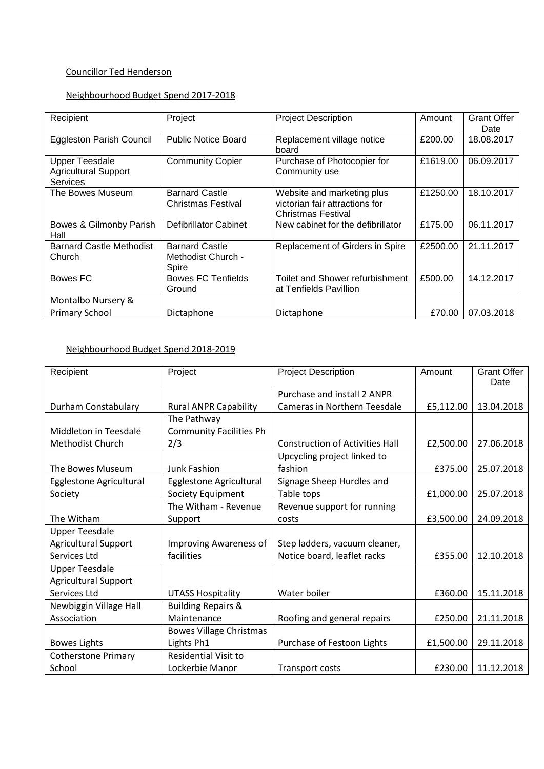#### Councillor Ted Henderson

#### Neighbourhood Budget Spend 2017-2018

| Recipient                                                               | Project                                              | <b>Project Description</b>                                                         | Amount   | <b>Grant Offer</b><br>Date |
|-------------------------------------------------------------------------|------------------------------------------------------|------------------------------------------------------------------------------------|----------|----------------------------|
| <b>Eggleston Parish Council</b>                                         | <b>Public Notice Board</b>                           | Replacement village notice<br>board                                                | £200.00  | 18.08.2017                 |
| <b>Upper Teesdale</b><br><b>Agricultural Support</b><br><b>Services</b> | <b>Community Copier</b>                              | Purchase of Photocopier for<br>Community use                                       | £1619.00 | 06.09.2017                 |
| The Bowes Museum                                                        | <b>Barnard Castle</b><br>Christmas Festival          | Website and marketing plus<br>victorian fair attractions for<br>Christmas Festival | £1250.00 | 18.10.2017                 |
| Bowes & Gilmonby Parish<br>Hall                                         | Defibrillator Cabinet                                | New cabinet for the defibrillator                                                  | £175.00  | 06.11.2017                 |
| <b>Barnard Castle Methodist</b><br>Church                               | <b>Barnard Castle</b><br>Methodist Church -<br>Spire | Replacement of Girders in Spire                                                    | £2500.00 | 21.11.2017                 |
| Bowes FC                                                                | <b>Bowes FC Tenfields</b><br>Ground                  | Toilet and Shower refurbishment<br>at Tenfields Pavillion                          | £500.00  | 14.12.2017                 |
| Montalbo Nursery &                                                      |                                                      |                                                                                    |          |                            |
| <b>Primary School</b>                                                   | Dictaphone                                           | Dictaphone                                                                         | £70.00   | 07.03.2018                 |

## Neighbourhood Budget Spend 2018-2019

| Recipient                   | Project                        | <b>Project Description</b>             | Amount    | <b>Grant Offer</b><br>Date |
|-----------------------------|--------------------------------|----------------------------------------|-----------|----------------------------|
|                             |                                | Purchase and install 2 ANPR            |           |                            |
| Durham Constabulary         | <b>Rural ANPR Capability</b>   | Cameras in Northern Teesdale           | £5,112.00 | 13.04.2018                 |
|                             | The Pathway                    |                                        |           |                            |
| Middleton in Teesdale       | <b>Community Facilities Ph</b> |                                        |           |                            |
| Methodist Church            | 2/3                            | <b>Construction of Activities Hall</b> | £2,500.00 | 27.06.2018                 |
|                             |                                | Upcycling project linked to            |           |                            |
| The Bowes Museum            | <b>Junk Fashion</b>            | fashion                                | £375.00   | 25.07.2018                 |
| Egglestone Agricultural     | Egglestone Agricultural        | Signage Sheep Hurdles and              |           |                            |
| Society                     | Society Equipment              | Table tops                             | £1,000.00 | 25.07.2018                 |
|                             | The Witham - Revenue           | Revenue support for running            |           |                            |
| The Witham                  | Support                        | costs                                  | £3,500.00 | 24.09.2018                 |
| <b>Upper Teesdale</b>       |                                |                                        |           |                            |
| <b>Agricultural Support</b> | Improving Awareness of         | Step ladders, vacuum cleaner,          |           |                            |
| Services Ltd                | facilities                     | Notice board, leaflet racks            | £355.00   | 12.10.2018                 |
| <b>Upper Teesdale</b>       |                                |                                        |           |                            |
| <b>Agricultural Support</b> |                                |                                        |           |                            |
| Services Ltd                | <b>UTASS Hospitality</b>       | Water boiler                           | £360.00   | 15.11.2018                 |
| Newbiggin Village Hall      | <b>Building Repairs &amp;</b>  |                                        |           |                            |
| Association                 | Maintenance                    | Roofing and general repairs            | £250.00   | 21.11.2018                 |
|                             | <b>Bowes Village Christmas</b> |                                        |           |                            |
| <b>Bowes Lights</b>         | Lights Ph1                     | Purchase of Festoon Lights             | £1,500.00 | 29.11.2018                 |
| <b>Cotherstone Primary</b>  | <b>Residential Visit to</b>    |                                        |           |                            |
| School                      | Lockerbie Manor                | <b>Transport costs</b>                 | £230.00   | 11.12.2018                 |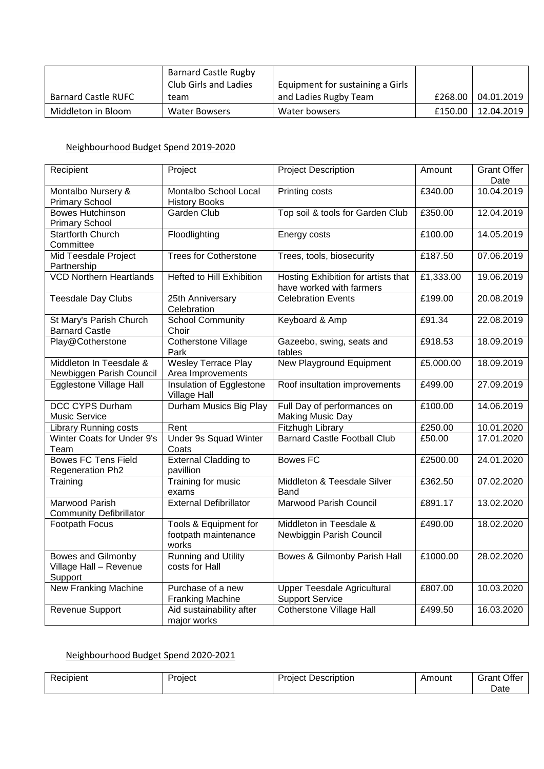|                            | <b>Barnard Castle Rugby</b> |                                  |         |            |
|----------------------------|-----------------------------|----------------------------------|---------|------------|
|                            | Club Girls and Ladies       | Equipment for sustaining a Girls |         |            |
| <b>Barnard Castle RUFC</b> | team                        | and Ladies Rugby Team            | £268.00 | 04.01.2019 |
| Middleton in Bloom         | Water Bowsers               | Water bowsers                    | £150.00 | 12.04.2019 |

#### Neighbourhood Budget Spend 2019-2020

| Recipient                                                      | Project                                                | <b>Project Description</b>                                      | Amount    | <b>Grant Offer</b><br>Date |
|----------------------------------------------------------------|--------------------------------------------------------|-----------------------------------------------------------------|-----------|----------------------------|
| Montalbo Nursery &<br><b>Primary School</b>                    | Montalbo School Local<br><b>History Books</b>          | Printing costs                                                  | £340.00   | 10.04.2019                 |
| <b>Bowes Hutchinson</b><br><b>Primary School</b>               | <b>Garden Club</b>                                     | Top soil & tools for Garden Club                                | £350.00   | 12.04.2019                 |
| <b>Startforth Church</b><br>Committee                          | Floodlighting                                          | Energy costs                                                    | £100.00   | 14.05.2019                 |
| Mid Teesdale Project<br>Partnership                            | <b>Trees for Cotherstone</b>                           | Trees, tools, biosecurity                                       | £187.50   | 07.06.2019                 |
| <b>VCD Northern Heartlands</b>                                 | Hefted to Hill Exhibition                              | Hosting Exhibition for artists that<br>have worked with farmers | £1,333.00 | 19.06.2019                 |
| <b>Teesdale Day Clubs</b>                                      | 25th Anniversary<br>Celebration                        | <b>Celebration Events</b>                                       | £199.00   | 20.08.2019                 |
| St Mary's Parish Church<br><b>Barnard Castle</b>               | <b>School Community</b><br>Choir                       | Keyboard & Amp                                                  | £91.34    | 22.08.2019                 |
| Play@Cotherstone                                               | <b>Cotherstone Village</b><br>Park                     | Gazeebo, swing, seats and<br>tables                             | £918.53   | 18.09.2019                 |
| Middleton In Teesdale &<br>Newbiggen Parish Council            | Wesley Terrace Play<br>Area Improvements               | <b>New Playground Equipment</b>                                 | £5,000.00 | 18.09.2019                 |
| <b>Egglestone Village Hall</b>                                 | Insulation of Egglestone<br><b>Village Hall</b>        | Roof insultation improvements                                   | £499.00   | 27.09.2019                 |
| <b>DCC CYPS Durham</b><br>Music Service                        | Durham Musics Big Play                                 | Full Day of performances on<br><b>Making Music Day</b>          | £100.00   | 14.06.2019                 |
| <b>Library Running costs</b>                                   | Rent                                                   | Fitzhugh Library                                                | £250.00   | 10.01.2020                 |
| Winter Coats for Under 9's<br>Team                             | <b>Under 9s Squad Winter</b><br>Coats                  | <b>Barnard Castle Football Club</b>                             | £50.00    | 17.01.2020                 |
| <b>Bowes FC Tens Field</b><br><b>Regeneration Ph2</b>          | <b>External Cladding to</b><br>pavillion               | <b>Bowes FC</b>                                                 | £2500.00  | 24.01.2020                 |
| Training                                                       | Training for music<br>exams                            | Middleton & Teesdale Silver<br>Band                             | £362.50   | 07.02.2020                 |
| Marwood Parish<br><b>Community Defibrillator</b>               | <b>External Defibrillator</b>                          | <b>Marwood Parish Council</b>                                   | £891.17   | 13.02.2020                 |
| Footpath Focus                                                 | Tools & Equipment for<br>footpath maintenance<br>works | Middleton in Teesdale &<br>Newbiggin Parish Council             | £490.00   | 18.02.2020                 |
| <b>Bowes and Gilmonby</b><br>Village Hall - Revenue<br>Support | <b>Running and Utility</b><br>costs for Hall           | Bowes & Gilmonby Parish Hall                                    | £1000.00  | 28.02.2020                 |
| <b>New Franking Machine</b>                                    | Purchase of a new<br><b>Franking Machine</b>           | <b>Upper Teesdale Agricultural</b><br><b>Support Service</b>    | £807.00   | 10.03.2020                 |
| Revenue Support                                                | Aid sustainability after<br>major works                | <b>Cotherstone Village Hall</b>                                 | £499.50   | 16.03.2020                 |

# Neighbourhood Budget Spend 2020-2021

| <b>Recipient</b> | Proiect | Project '<br>Description | Amount | Offer<br>Grant |
|------------------|---------|--------------------------|--------|----------------|
|                  |         |                          |        | Date           |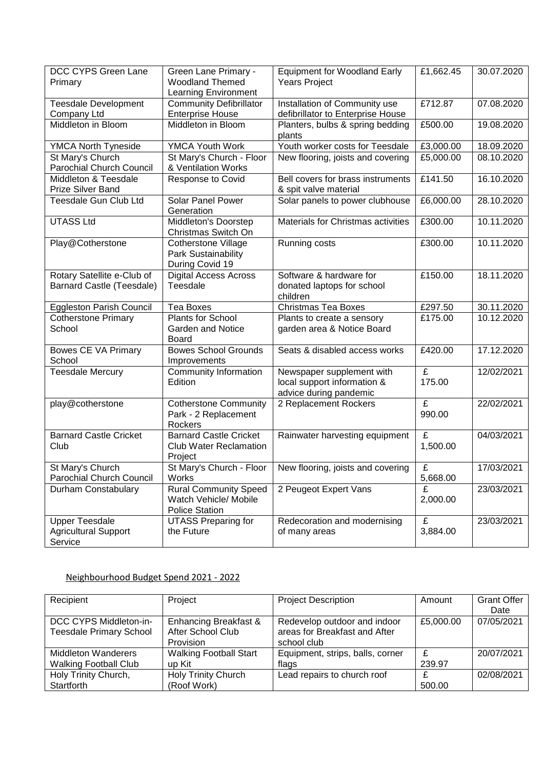| DCC CYPS Green Lane<br>Primary         | Green Lane Primary -<br><b>Woodland Themed</b>                       | <b>Equipment for Woodland Early</b><br><b>Years Project</b> | £1,662.45   | 30.07.2020 |
|----------------------------------------|----------------------------------------------------------------------|-------------------------------------------------------------|-------------|------------|
|                                        | <b>Learning Environment</b>                                          |                                                             |             |            |
| <b>Teesdale Development</b>            | <b>Community Defibrillator</b>                                       | Installation of Community use                               | £712.87     | 07.08.2020 |
| Company Ltd                            | <b>Enterprise House</b>                                              | defibrillator to Enterprise House                           |             |            |
| Middleton in Bloom                     | Middleton in Bloom                                                   | Planters, bulbs & spring bedding<br>plants                  | £500.00     | 19.08.2020 |
| <b>YMCA North Tyneside</b>             | <b>YMCA Youth Work</b>                                               | Youth worker costs for Teesdale                             | £3,000.00   | 18.09.2020 |
| St Mary's Church                       | St Mary's Church - Floor                                             | New flooring, joists and covering                           | £5,000.00   | 08.10.2020 |
| <b>Parochial Church Council</b>        | & Ventilation Works                                                  |                                                             |             |            |
| Middleton & Teesdale                   | <b>Response to Covid</b>                                             | Bell covers for brass instruments                           | £141.50     | 16.10.2020 |
| Prize Silver Band                      |                                                                      | & spit valve material                                       |             |            |
| Teesdale Gun Club Ltd                  | Solar Panel Power<br>Generation                                      | Solar panels to power clubhouse                             | £6,000.00   | 28.10.2020 |
| <b>UTASS Ltd</b>                       | Middleton's Doorstep<br>Christmas Switch On                          | Materials for Christmas activities                          | £300.00     | 10.11.2020 |
| Play@Cotherstone                       | <b>Cotherstone Village</b><br>Park Sustainability<br>During Covid 19 | Running costs                                               | £300.00     | 10.11.2020 |
| Rotary Satellite e-Club of             | <b>Digital Access Across</b>                                         | Software & hardware for                                     | £150.00     | 18.11.2020 |
| Barnard Castle (Teesdale)              | Teesdale                                                             | donated laptops for school<br>children                      |             |            |
| <b>Eggleston Parish Council</b>        | <b>Tea Boxes</b>                                                     | <b>Christmas Tea Boxes</b>                                  | £297.50     | 30.11.2020 |
| <b>Cotherstone Primary</b><br>School   | Plants for School<br><b>Garden and Notice</b>                        | Plants to create a sensory<br>garden area & Notice Board    | £175.00     | 10.12.2020 |
|                                        | <b>Board</b>                                                         |                                                             |             |            |
| Bowes CE VA Primary<br>School          | <b>Bowes School Grounds</b><br>Improvements                          | Seats & disabled access works                               | £420.00     | 17.12.2020 |
| <b>Teesdale Mercury</b>                | Community Information<br>Edition                                     | Newspaper supplement with<br>local support information &    | £<br>175.00 | 12/02/2021 |
|                                        |                                                                      | advice during pandemic                                      |             |            |
| play@cotherstone                       | <b>Cotherstone Community</b>                                         | 2 Replacement Rockers                                       | £           | 22/02/2021 |
|                                        | Park - 2 Replacement                                                 |                                                             | 990.00      |            |
|                                        | Rockers                                                              |                                                             |             |            |
| <b>Barnard Castle Cricket</b>          | <b>Barnard Castle Cricket</b>                                        | Rainwater harvesting equipment                              | £           | 04/03/2021 |
| Club                                   | <b>Club Water Reclamation</b>                                        |                                                             | 1,500.00    |            |
|                                        | Project                                                              |                                                             |             |            |
| St Mary's Church                       | St Mary's Church - Floor                                             | New flooring, joists and covering                           | £           | 17/03/2021 |
| Parochial Church Council               | Works                                                                |                                                             | 5,668.00    |            |
| Durham Constabulary                    | <b>Rural Community Speed</b>                                         | 2 Peugeot Expert Vans                                       | £           | 23/03/2021 |
|                                        | Watch Vehicle/ Mobile                                                |                                                             | 2,000.00    |            |
|                                        | <b>Police Station</b>                                                |                                                             |             |            |
| <b>Upper Teesdale</b>                  | <b>UTASS Preparing for</b>                                           | Redecoration and modernising                                | £           | 23/03/2021 |
| <b>Agricultural Support</b><br>Service | the Future                                                           | of many areas                                               | 3,884.00    |            |
|                                        |                                                                      |                                                             |             |            |

### Neighbourhood Budget Spend 2021 - 2022

| Recipient                                                | Project                                                 | <b>Project Description</b>                                                   | Amount                 | <b>Grant Offer</b><br>Date |
|----------------------------------------------------------|---------------------------------------------------------|------------------------------------------------------------------------------|------------------------|----------------------------|
| DCC CYPS Middleton-in-<br><b>Teesdale Primary School</b> | Enhancing Breakfast &<br>After School Club<br>Provision | Redevelop outdoor and indoor<br>areas for Breakfast and After<br>school club | £5,000.00              | 07/05/2021                 |
| Middleton Wanderers<br><b>Walking Football Club</b>      | <b>Walking Football Start</b><br>up Kit                 | Equipment, strips, balls, corner<br>flags                                    | $\mathbf{f}$<br>239.97 | 20/07/2021                 |
| Holy Trinity Church,<br>Startforth                       | Holy Trinity Church<br>(Roof Work)                      | Lead repairs to church roof                                                  | 500.00                 | 02/08/2021                 |